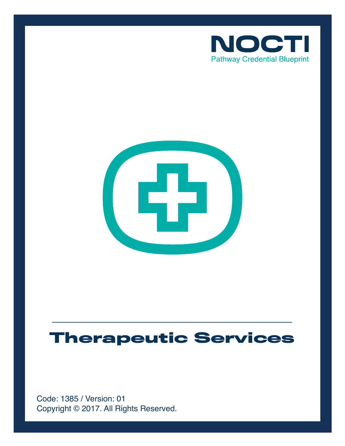



# **Therapeutic Services**

Copyright © 2017. All Rights Reserved. Code: 1385 / Version: 01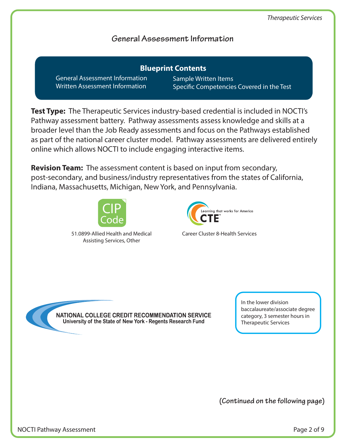## **General Assessment Information**

General Assessment Information Written Assessment Information **Blueprint Contents**

Sample Written Items Specific Competencies Covered in the Test

**Test Type:** The Therapeutic Services industry-based credential is included in NOCTI's Pathway assessment battery. Pathway assessments assess knowledge and skills at a broader level than the Job Ready assessments and focus on the Pathways established as part of the national career cluster model. Pathway assessments are delivered entirely online which allows NOCTI to include engaging interactive items.

**Revision Team:** The assessment content is based on input from secondary, post-secondary, and business/industry representatives from the states of California, Indiana, Massachusetts, Michigan, New York, and Pennsylvania.



51.0899-Allied Health and Medical Assisting Services, Other

earning that works for America

Career Cluster 8-Health Services

NATIONAL COLLEGE CREDIT RECOMMENDATION SERVICE University of the State of New York - Regents Research Fund

In the lower division baccalaureate/associate degree category, 3 semester hours in Therapeutic Services

**(Continued on the following page)**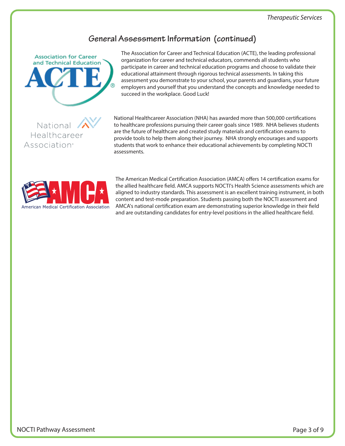## **General Assessment Information (continued)**



National Healthcareer

Association<sup>®</sup>

The Association for Career and Technical Education (ACTE), the leading professional organization for career and technical educators, commends all students who participate in career and technical education programs and choose to validate their educational attainment through rigorous technical assessments. In taking this assessment you demonstrate to your school, your parents and guardians, your future employers and yourself that you understand the concepts and knowledge needed to succeed in the workplace. Good Luck!

National Healthcareer Association (NHA) has awarded more than 500,000 certifications to healthcare professions pursuing their career goals since 1989. NHA believes students are the future of healthcare and created study materials and certification exams to provide tools to help them along their journey. NHA strongly encourages and supports students that work to enhance their educational achievements by completing NOCTI assessments.



The American Medical Certification Association (AMCA) offers 14 certification exams for the allied healthcare field. AMCA supports NOCTI's Health Science assessments which are aligned to industry standards. This assessment is an excellent training instrument, in both content and test-mode preparation. Students passing both the NOCTI assessment and AMCA's national certification exam are demonstrating superior knowledge in their field and are outstanding candidates for entry-level positions in the allied healthcare field.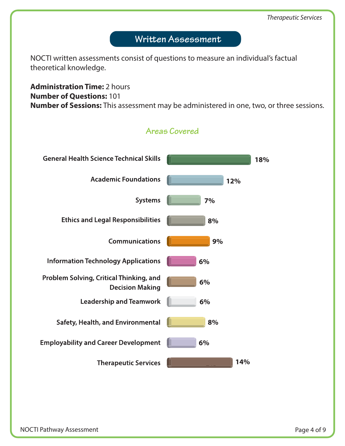## Written Assessment

NOCTI written assessments consist of questions to measure an individual's factual theoretical knowledge.

## **Administration Time:** 2 hours **Number of Questions:** 101 **Number of Sessions:** This assessment may be administered in one, two, or three sessions.

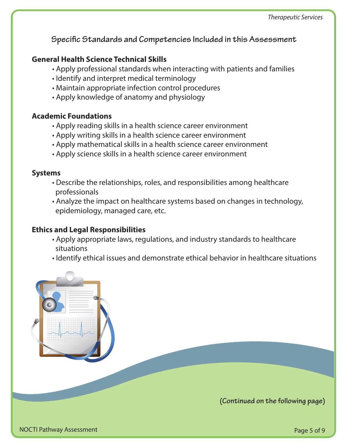**Specific Standards and Competencies Included in this Assessment** 

## **General Health Science Technical Skills**

- Apply professional standards when interacting with patients and families
- Identify and interpret medical terminology
- Maintain appropriate infection control procedures
- Apply knowledge of anatomy and physiology

## **Academic Foundations**

- Apply reading skills in a health science career environment
- Apply writing skills in a health science career environment
- Apply mathematical skills in a health science career environment
- Apply science skills in a health science career environment

#### **Systems**

- Describe the relationships, roles, and responsibilities among healthcare professionals
- Analyze the impact on healthcare systems based on changes in technology, epidemiology, managed care, etc.

## **Ethics and Legal Responsibilities**

- Apply appropriate laws, regulations, and industry standards to healthcare situations
- Identify ethical issues and demonstrate ethical behavior in healthcare situations

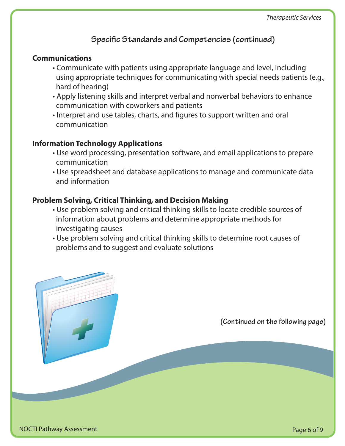## **Specific Standards and Competencies (continued)**

#### **Communications**

- Communicate with patients using appropriate language and level, including using appropriate techniques for communicating with special needs patients (e.g., hard of hearing)
- Apply listening skills and interpret verbal and nonverbal behaviors to enhance communication with coworkers and patients
- Interpret and use tables, charts, and figures to support written and oral communication

#### **Information Technology Applications**

- Use word processing, presentation software, and email applications to prepare communication
- Use spreadsheet and database applications to manage and communicate data and information

## **Problem Solving, Critical Thinking, and Decision Making**

- Use problem solving and critical thinking skills to locate credible sources of information about problems and determine appropriate methods for investigating causes
- Use problem solving and critical thinking skills to determine root causes of problems and to suggest and evaluate solutions

**(Continued on the following page)**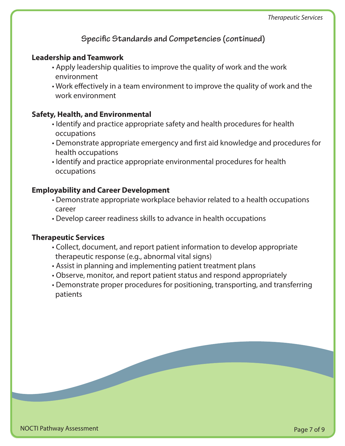**Specific Standards and Competencies (continued)** 

#### **Leadership and Teamwork**

- Apply leadership qualities to improve the quality of work and the work environment
- Work effectively in a team environment to improve the quality of work and the work environment

## **Safety, Health, and Environmental**

- Identify and practice appropriate safety and health procedures for health occupations
- Demonstrate appropriate emergency and first aid knowledge and procedures for health occupations
- Identify and practice appropriate environmental procedures for health occupations

## **Employability and Career Development**

- Demonstrate appropriate workplace behavior related to a health occupations career
- Develop career readiness skills to advance in health occupations

#### **Therapeutic Services**

- Collect, document, and report patient information to develop appropriate therapeutic response (e.g., abnormal vital signs)
- Assist in planning and implementing patient treatment plans
- Observe, monitor, and report patient status and respond appropriately
- Demonstrate proper procedures for positioning, transporting, and transferring patients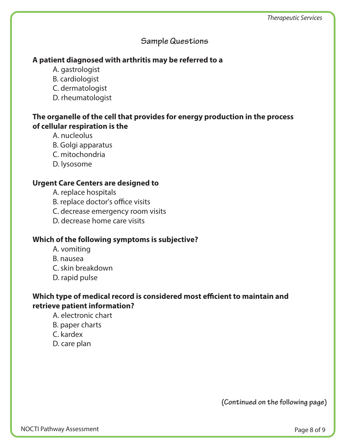## **Sample Questions**

## **A patient diagnosed with arthritis may be referred to a**

- A. gastrologist
- B. cardiologist
- C. dermatologist
- D. rheumatologist

## **The organelle of the cell that provides for energy production in the process of cellular respiration is the**

- A. nucleolus
- B. Golgi apparatus
- C. mitochondria
- D. lysosome

## **Urgent Care Centers are designed to**

- A. replace hospitals
- B. replace doctor's office visits
- C. decrease emergency room visits
- D. decrease home care visits

## **Which of the following symptoms is subjective?**

- A. vomiting
- B. nausea
- C. skin breakdown
- D. rapid pulse

## Which type of medical record is considered most efficient to maintain and **retrieve patient information?**

- A. electronic chart
- B. paper charts
- C. kardex
- D. care plan

**(Continued on the following page)**